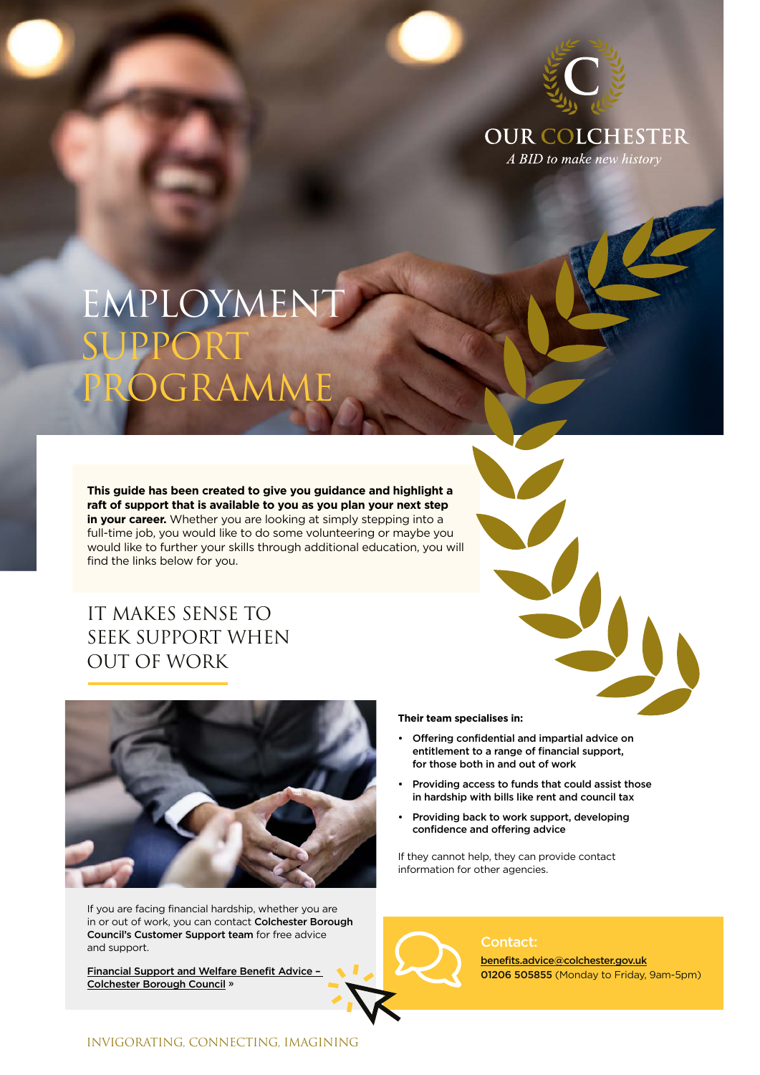

**OUR COLCHESTER** A BID to make new history

# EMPLOYMENT SUPPORT GRAMME

**This guide has been created to give you guidance and highlight a raft of support that is available to you as you plan your next step in your career.** Whether you are looking at simply stepping into a full-time job, you would like to do some volunteering or maybe you would like to further your skills through additional education, you will find the links below for you.

## IT MAKES SENSE TO SEEK SUPPORT WHEN OUT OF WORK



If you are facing financial hardship, whether you are in or out of work, you can contact Colchester Borough Council's Customer Support team for free advice and support.

[Financial Support and Welfare Benefit Advice –](https://www.colchester.gov.uk/coronavirus/residents/claiming-benefits/?page=benefit--advice)  [Colchester Borough Council](https://www.colchester.gov.uk/coronavirus/residents/claiming-benefits/?page=benefit--advice) **»**

### **Their team specialises in:**

- Offering confidential and impartial advice on entitlement to a range of financial support, for those both in and out of work
- Providing access to funds that could assist those in hardship with bills like rent and council tax
- Providing back to work support, developing confidence and offering advice

If they cannot help, they can provide contact information for other agencies.

### Contact:

benefits.advice@colchester.gov.uk 01206 505855 (Monday to Friday, 9am-5pm)

## INVIGORATING, CONNECTING, IMAGINING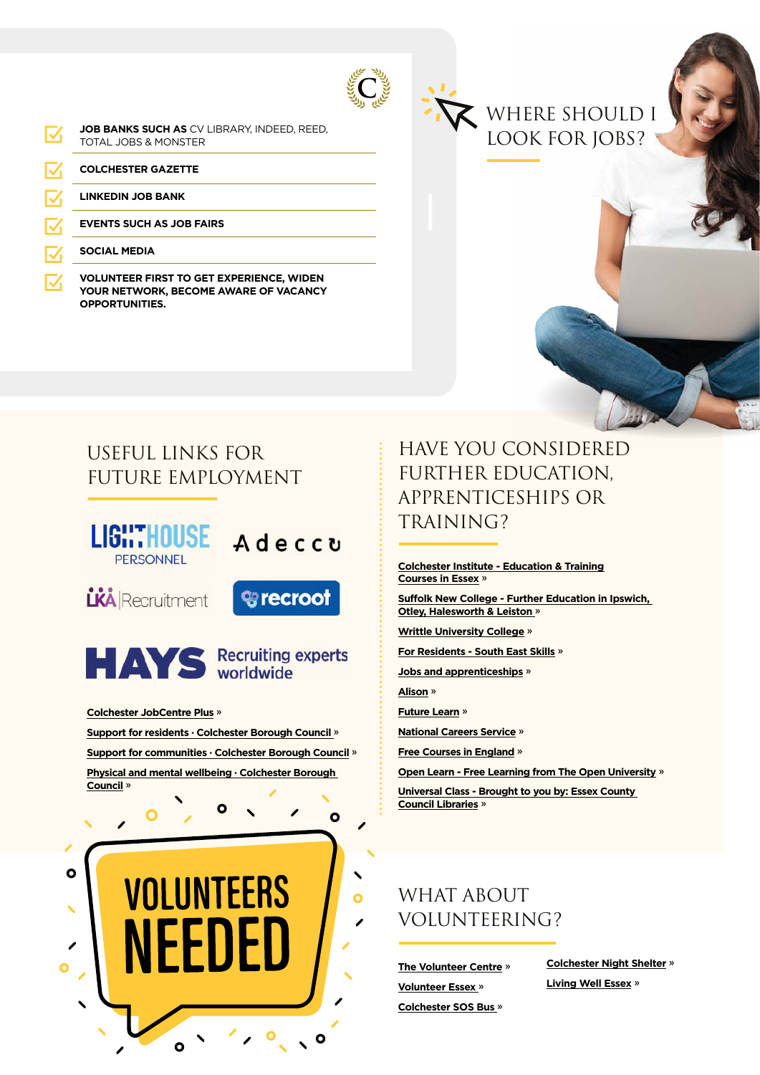**JOB BANKS SUCH AS** CV LIBRARY, INDEED, REED, M TOTAL JOBS & MONSTER

**COLCHESTER GAZETTE**

**LINKEDIN JOB BANK**

**EVENTS SUCH AS JOB FAIRS**

**SOCIAL MEDIA**

**VOLUNTEER FIRST TO GET EXPERIENCE, WIDEN YOUR NETWORK, BECOME AWARE OF VACANCY OPPORTUNITIES.**



## USEFUL LINKS FOR FUTURE EMPLOYMENT





**[Colchester JobCentre Plus](https://www.jobcentreguide.co.uk/colchester-jobcentre) »**

**[Support for residents · Colchester Borough Council](https://www.colchester.gov.uk/coronavirus/residents/) » [Support for communities · Colchester Borough Council](https://www.colchester.gov.uk/coronavirus/communities/) »**

**[Physical and mental wellbeing · Colchester Borough](https://www.colchester.gov.uk/coronavirus/communities/physical-and-mental-wellbeing/)  [Council](https://www.colchester.gov.uk/coronavirus/communities/physical-and-mental-wellbeing/) »**



# HAVE YOU CONSIDERED FURTHER EDUCATION, APPRENTICESHIPS OR TRAINING?

**[Colchester Institute - Education & Training](https://www.colchester.ac.uk/) [Courses in Essex](https://www.colchester.ac.uk/) »**

**[Suffolk New College - Further Education in Ipswich,](https://www.suffolk.ac.uk/)  [Otley, Halesworth & Leiston](https://www.suffolk.ac.uk/) »**

**[Writtle University College](https://writtle.ac.uk/) »**

**[For Residents - South East Skills](https://www.southeastskills.org.uk/boost-your-skills/for-residents/) »**

**[Jobs and apprenticeships](https://www.essex.gov.uk/jobs-volunteering-apprenticeships/employment-support-and-training) »**

**[Alison](https://alison.com/) »**

**[Future Learn](https://www.futurelearn.com/) »**

**[National Careers Service](https://nationalcareers.service.gov.uk/find-a-course) »**

**[Free Courses in England](https://freecoursesinengland.co.uk/) »**

**[Open Learn - Free Learning from The Open University](https://www.open.edu/openlearn/free-courses/full-catalogue) »**

**[Universal Class - Brought to you by: Essex County](https://essexlibraries.universalclass.com/barcode-login.htm)  [Council Libraries](https://essexlibraries.universalclass.com/barcode-login.htm) »**

# WHAT ABOUT VOLUNTEERING?

**[The Volunteer Centre](https://www.community360.org.uk/services/volunteering/) » [Volunteer Essex](https://www.volunteeressex.org/) » [Colchester SOS Bus](https://www.openroad.org.uk/sos-bus) »**

**[Colchester Night Shelter](https://colchesternightshelter.org.uk/) » [Living Well Essex](https://www.livingwellessex.org/work-and-learning/finding-work/volunteering/) »**